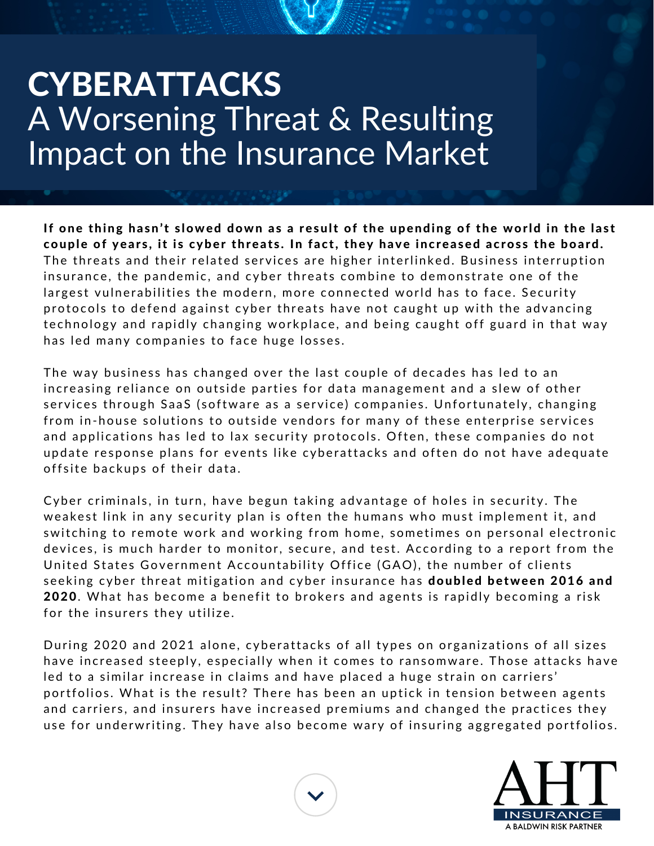## **CYBERATTACKS** A Worsening Threat & Resulting Impact on the Insurance Market

If one thing hasn't slowed down as a result of the upending of the world in the last couple of years, it is cyber threats. In fact, they have increased across the board. The threats and their related services are higher interlinked. Business interruption insurance, the pandemic, and cyber threats combine to demonstrate one of the largest vulnerabilities the modern, more connected world has to face. Security protocols to defend against cyber threats have not caught up with the advancing technology and rapidly changing workplace, and being caught off guard in that way has led many companies to face huge losses.

The way business has changed over the last couple of decades has led to an increasing reliance on outside parties for data management and a slew of other services through SaaS (software as a service) companies. Unfortunately, changing from in-house solutions to outside vendors for many of these enterprise services and applications has led to lax security protocols. Often, these companies do not update response plans for events like cyberattacks and often do not have adequate offsite backups of their data.

Cyber criminals, in turn, have begun taking advantage of holes in security. The weakest link in any security plan is often the humans who must implement it, and switching to remote work and working from home, sometimes on personal electronic devices, is much harder to monitor, secure, and test. According to a report from the United States Government Accountability Office (GAO), the number of clients seeking cyber threat mitigation and cyber insurance has **doubled between 2016 and** 2020. What has become a benefit to brokers and agents is rapidly becoming a risk for the insurers they utilize.

During 2020 and 2021 alone, cyberattacks of all types on organizations of all sizes have increased steeply, especially when it comes to ransomware. Those attacks have led to a similar increase in claims and have placed a huge strain on carriers' portfolios. What is the result? There has been an uptick in tension between agents and carriers, and insurers have increased premiums and changed the practices they use for underwriting. They have also become wary of insuring aggregated portfolios.



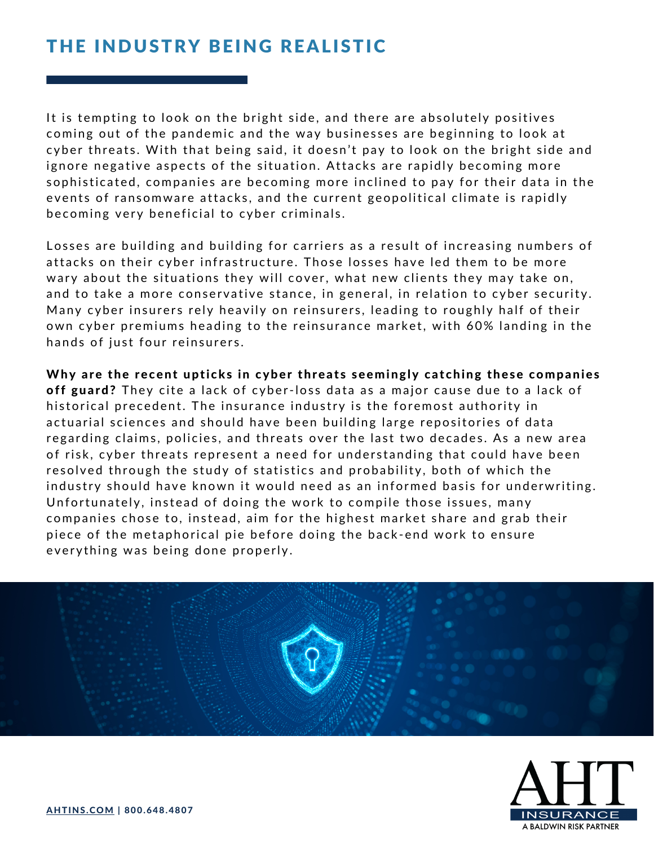## THE INDUSTRY BEING REALISTIC

It is tempting to look on the bright side, and there are absolutely positives coming out of the pandemic and the way businesses are beginning to look at cyber threats. With that being said, it doesn't pay to look on the bright side and ignore negative aspects of the situation. Attacks are rapidly becoming more sophisticated, companies are becoming more inclined to pay for their data in the events of ransomware attacks, and the current geopolitical climate is rapidly becoming very beneficial to cyber criminals.

Losses are building and building for carriers as a result of increasing numbers of attacks on their cyber infrastructure. Those losses have led them to be more wary about the situations they will cover, what new clients they may take on, and to take a more conservative stance, in general, in relation to cyber security. Many cyber insurers rely heavily on reinsurers, leading to roughly half of their own cyber premiums heading to the reinsurance market, with 60% landing in the hands of just four reinsurers.

Why are the recent upticks in cyber threats seemingly catching these companies off guard? They cite a lack of cyber-loss data as a major cause due to a lack of historical precedent. The insurance industry is the foremost authority in actuarial sciences and should have been building large repositories of data regarding claims, policies, and threats over the last two decades. As a new area of risk, cyber threats represent a need for understanding that could have been resolved through the study of statistics and probability, both of which the industry should have known it would need as an informed basis for underwriting. Unfortunately, instead of doing the work to compile those issues, many companies chose to, instead, aim for the highest market share and grab their piece of the metaphorical pie before doing the back-end work to ensure every thing was being done properly.